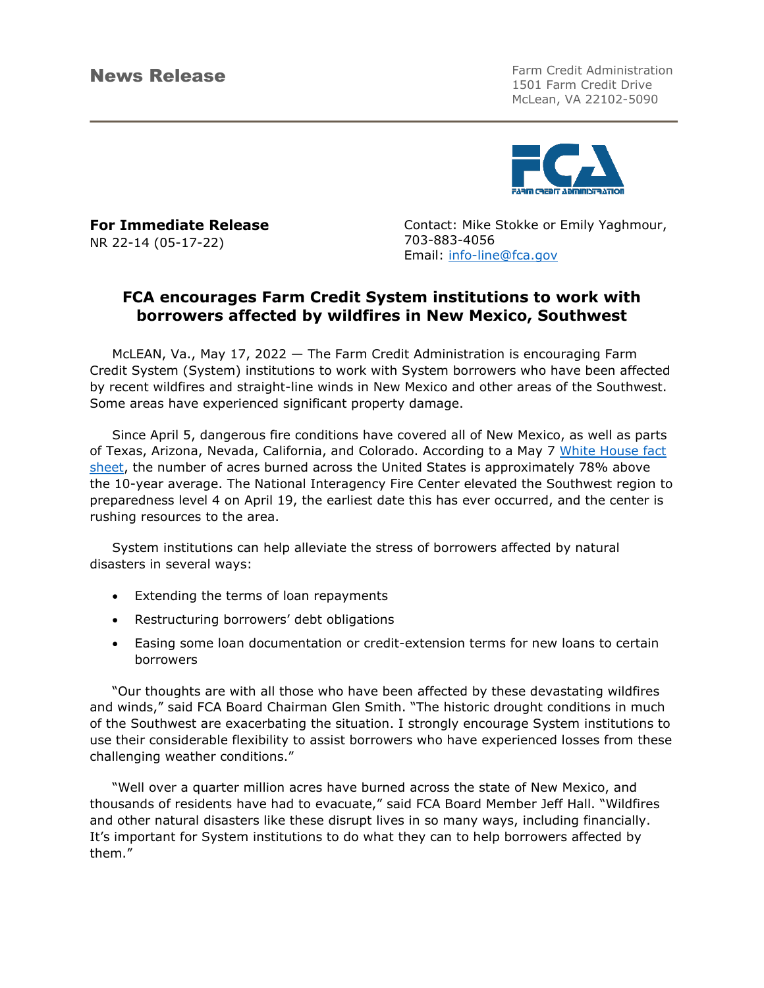News Release Farm Credit Administration 1501 Farm Credit Drive McLean, VA 22102-5090



**For Immediate Release**  NR 22-14 (05-17-22)

Contact: Mike Stokke or Emily Yaghmour, 703-883-4056 Email: [info-line@fca.gov](mailto:info-line@fca.gov)

## **FCA encourages Farm Credit System institutions to work with borrowers affected by wildfires in New Mexico, Southwest**

McLEAN, Va., May 17, 2022 — The Farm Credit Administration is encouraging Farm Credit System (System) institutions to work with System borrowers who have been affected by recent wildfires and straight-line winds in New Mexico and other areas of the Southwest. Some areas have experienced significant property damage.

Since April 5, dangerous fire conditions have covered all of New Mexico, as well as parts of Texas, Arizona, Nevada, California, and Colorado. According to a May 7 White House fact [sheet,](https://www.whitehouse.gov/briefing-room/statements-releases/2022/05/07/fact-sheet-the-biden-administration-responds-to-early-wildfires-in-new-mexico/) the number of acres burned across the United States is approximately 78% above the 10-year average. The National Interagency Fire Center elevated the Southwest region to preparedness level 4 on April 19, the earliest date this has ever occurred, and the center is rushing resources to the area.

System institutions can help alleviate the stress of borrowers affected by natural disasters in several ways:

- Extending the terms of loan repayments
- Restructuring borrowers' debt obligations
- Easing some loan documentation or credit-extension terms for new loans to certain borrowers

"Our thoughts are with all those who have been affected by these devastating wildfires and winds," said FCA Board Chairman Glen Smith. "The historic drought conditions in much of the Southwest are exacerbating the situation. I strongly encourage System institutions to use their considerable flexibility to assist borrowers who have experienced losses from these challenging weather conditions."

"Well over a quarter million acres have burned across the state of New Mexico, and thousands of residents have had to evacuate," said FCA Board Member Jeff Hall. "Wildfires and other natural disasters like these disrupt lives in so many ways, including financially. It's important for System institutions to do what they can to help borrowers affected by them."